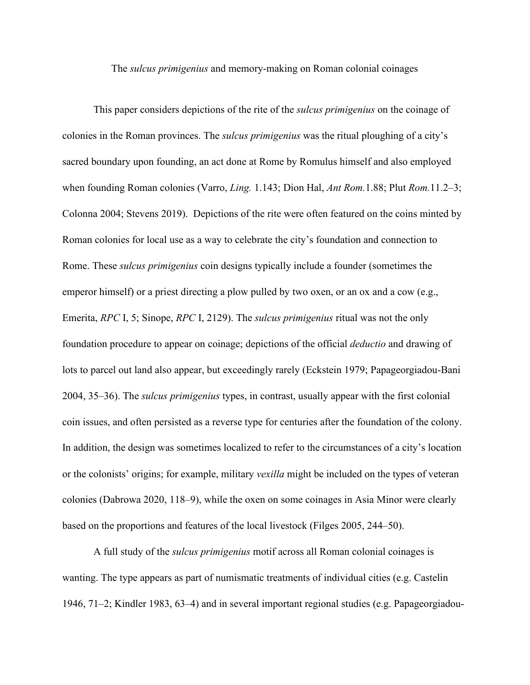The *sulcus primigenius* and memory-making on Roman colonial coinages

This paper considers depictions of the rite of the *sulcus primigenius* on the coinage of colonies in the Roman provinces. The *sulcus primigenius* was the ritual ploughing of a city's sacred boundary upon founding, an act done at Rome by Romulus himself and also employed when founding Roman colonies (Varro, *Ling.* 1.143; Dion Hal, *Ant Rom.*1.88; Plut *Rom.*11.2–3; Colonna 2004; Stevens 2019). Depictions of the rite were often featured on the coins minted by Roman colonies for local use as a way to celebrate the city's foundation and connection to Rome. These *sulcus primigenius* coin designs typically include a founder (sometimes the emperor himself) or a priest directing a plow pulled by two oxen, or an ox and a cow (e.g., Emerita, *RPC* I, 5; Sinope, *RPC* I, 2129). The *sulcus primigenius* ritual was not the only foundation procedure to appear on coinage; depictions of the official *deductio* and drawing of lots to parcel out land also appear, but exceedingly rarely (Eckstein 1979; Papageorgiadou-Bani 2004, 35–36). The *sulcus primigenius* types, in contrast, usually appear with the first colonial coin issues, and often persisted as a reverse type for centuries after the foundation of the colony. In addition, the design was sometimes localized to refer to the circumstances of a city's location or the colonists' origins; for example, military *vexilla* might be included on the types of veteran colonies (Dabrowa 2020, 118–9), while the oxen on some coinages in Asia Minor were clearly based on the proportions and features of the local livestock (Filges 2005, 244–50).

A full study of the *sulcus primigenius* motif across all Roman colonial coinages is wanting. The type appears as part of numismatic treatments of individual cities (e.g. Castelin 1946, 71–2; Kindler 1983, 63–4) and in several important regional studies (e.g. Papageorgiadou-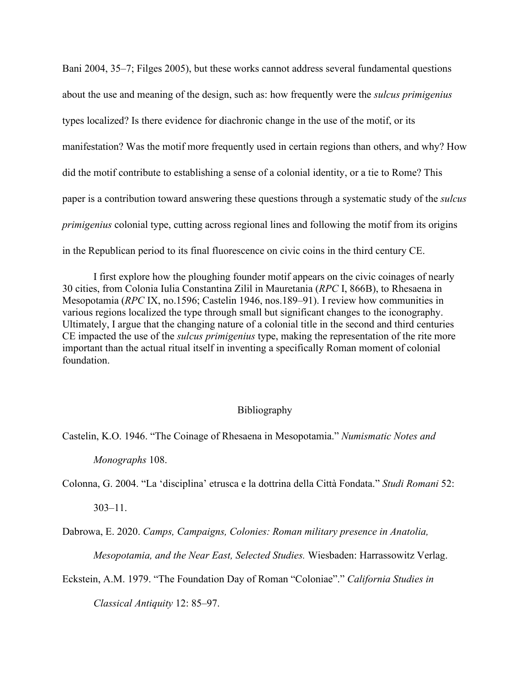Bani 2004, 35–7; Filges 2005), but these works cannot address several fundamental questions about the use and meaning of the design, such as: how frequently were the *sulcus primigenius* types localized? Is there evidence for diachronic change in the use of the motif, or its manifestation? Was the motif more frequently used in certain regions than others, and why? How did the motif contribute to establishing a sense of a colonial identity, or a tie to Rome? This paper is a contribution toward answering these questions through a systematic study of the *sulcus primigenius* colonial type, cutting across regional lines and following the motif from its origins in the Republican period to its final fluorescence on civic coins in the third century CE.

I first explore how the ploughing founder motif appears on the civic coinages of nearly 30 cities, from Colonia Iulia Constantina Zilil in Mauretania (*RPC* I, 866B), to Rhesaena in Mesopotamia (*RPC* IX, no.1596; Castelin 1946, nos.189–91). I review how communities in various regions localized the type through small but significant changes to the iconography. Ultimately, I argue that the changing nature of a colonial title in the second and third centuries CE impacted the use of the *sulcus primigenius* type, making the representation of the rite more important than the actual ritual itself in inventing a specifically Roman moment of colonial foundation.

## Bibliography

Castelin, K.O. 1946. "The Coinage of Rhesaena in Mesopotamia." *Numismatic Notes and* 

*Monographs* 108.

Colonna, G. 2004. "La 'disciplina' etrusca e la dottrina della Città Fondata." *Studi Romani* 52:

303–11.

Dabrowa, E. 2020. *Camps, Campaigns, Colonies: Roman military presence in Anatolia,* 

*Mesopotamia, and the Near East, Selected Studies.* Wiesbaden: Harrassowitz Verlag.

Eckstein, A.M. 1979. "The Foundation Day of Roman "Coloniae"." *California Studies in* 

*Classical Antiquity* 12: 85–97.